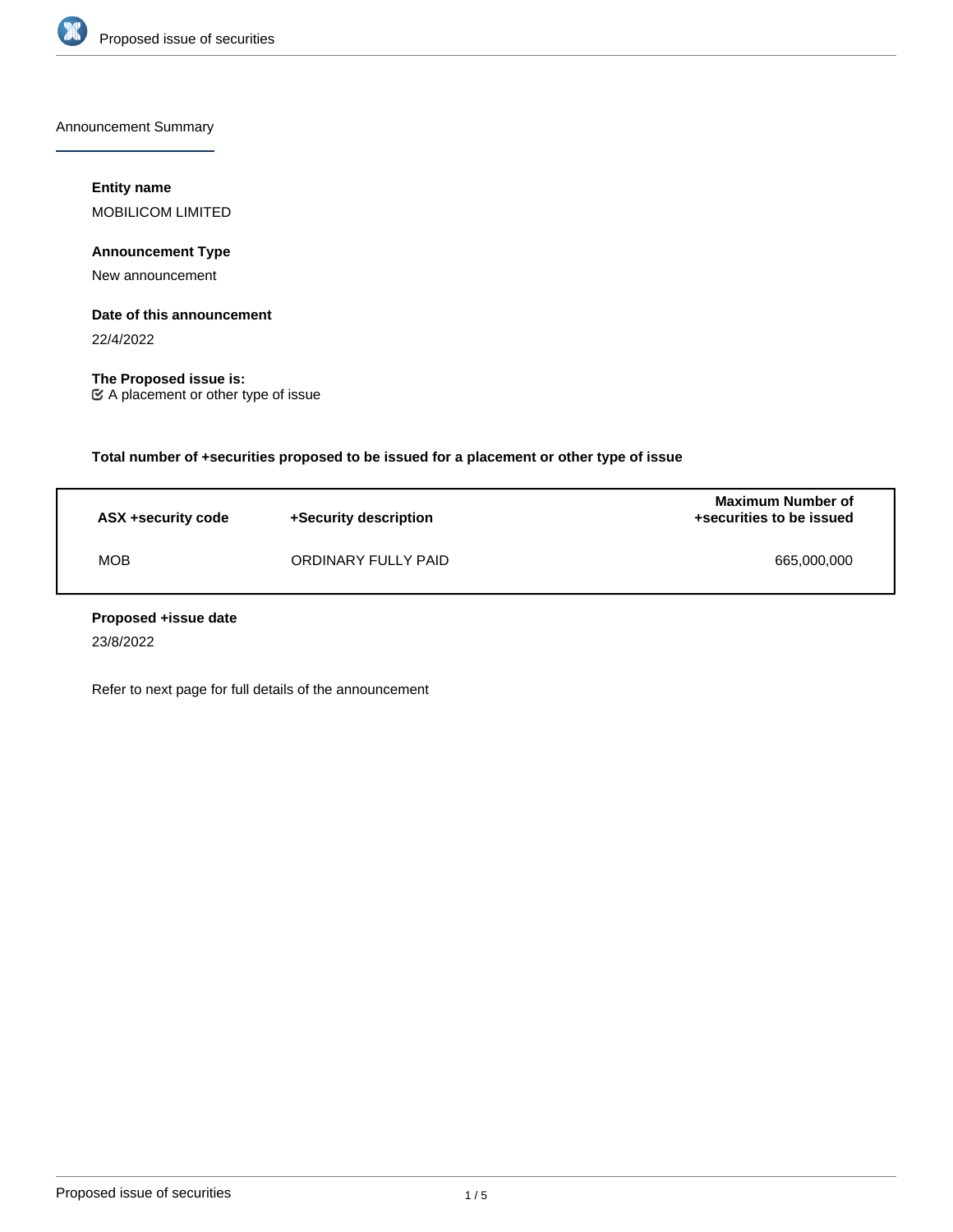

Announcement Summary

# **Entity name**

MOBILICOM LIMITED

# **Announcement Type**

New announcement

# **Date of this announcement**

22/4/2022

**The Proposed issue is:** A placement or other type of issue

**Total number of +securities proposed to be issued for a placement or other type of issue**

| ASX +security code | +Security description | <b>Maximum Number of</b><br>+securities to be issued |
|--------------------|-----------------------|------------------------------------------------------|
| <b>MOB</b>         | ORDINARY FULLY PAID   | 665,000,000                                          |

# **Proposed +issue date**

23/8/2022

Refer to next page for full details of the announcement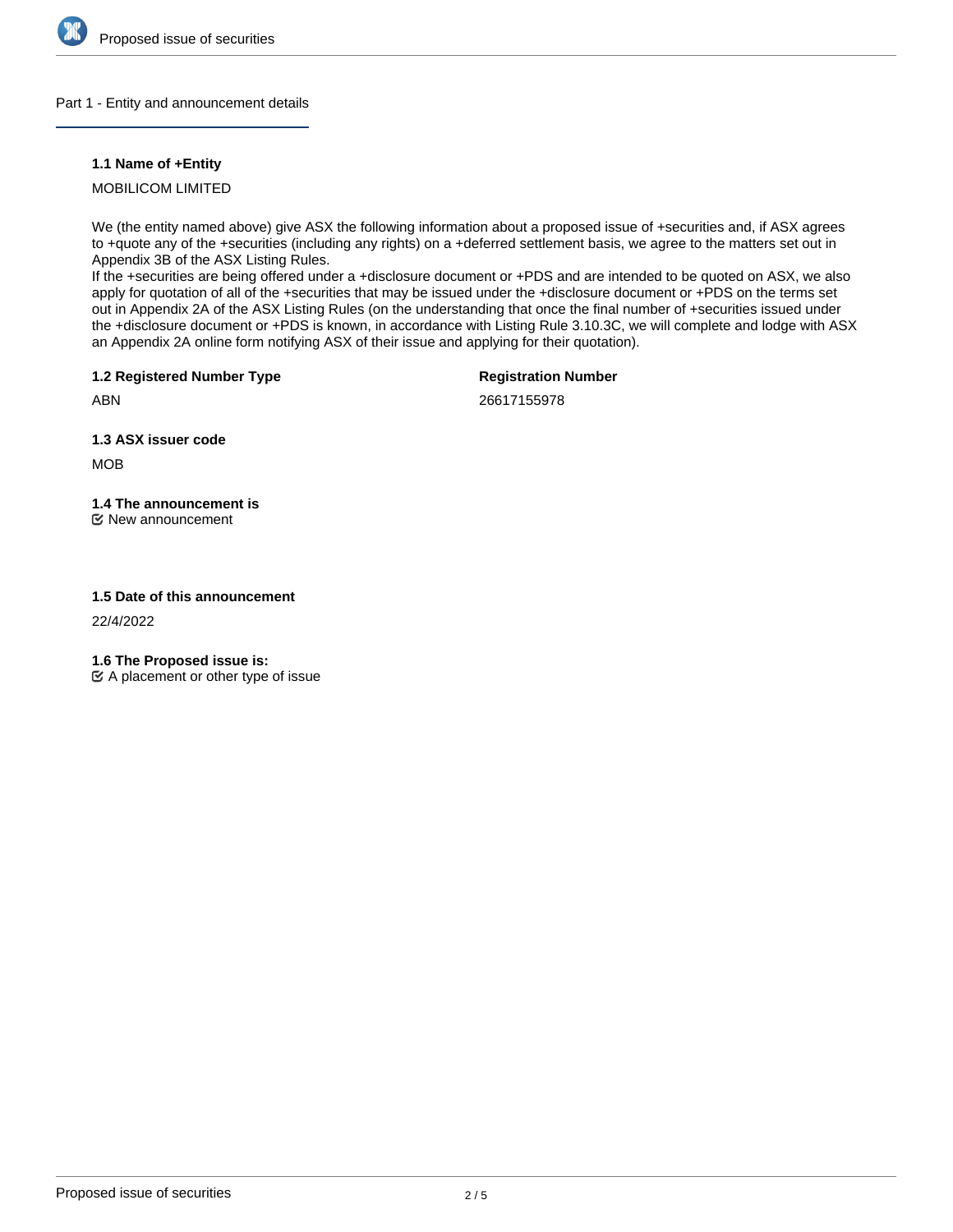

# Part 1 - Entity and announcement details

# **1.1 Name of +Entity**

MOBILICOM LIMITED

We (the entity named above) give ASX the following information about a proposed issue of +securities and, if ASX agrees to +quote any of the +securities (including any rights) on a +deferred settlement basis, we agree to the matters set out in Appendix 3B of the ASX Listing Rules.

If the +securities are being offered under a +disclosure document or +PDS and are intended to be quoted on ASX, we also apply for quotation of all of the +securities that may be issued under the +disclosure document or +PDS on the terms set out in Appendix 2A of the ASX Listing Rules (on the understanding that once the final number of +securities issued under the +disclosure document or +PDS is known, in accordance with Listing Rule 3.10.3C, we will complete and lodge with ASX an Appendix 2A online form notifying ASX of their issue and applying for their quotation).

**1.2 Registered Number Type**

**Registration Number**

ABN

26617155978

**1.3 ASX issuer code**

MOB

**1.4 The announcement is**

New announcement

# **1.5 Date of this announcement**

22/4/2022

**1.6 The Proposed issue is:**

 $\mathfrak{C}$  A placement or other type of issue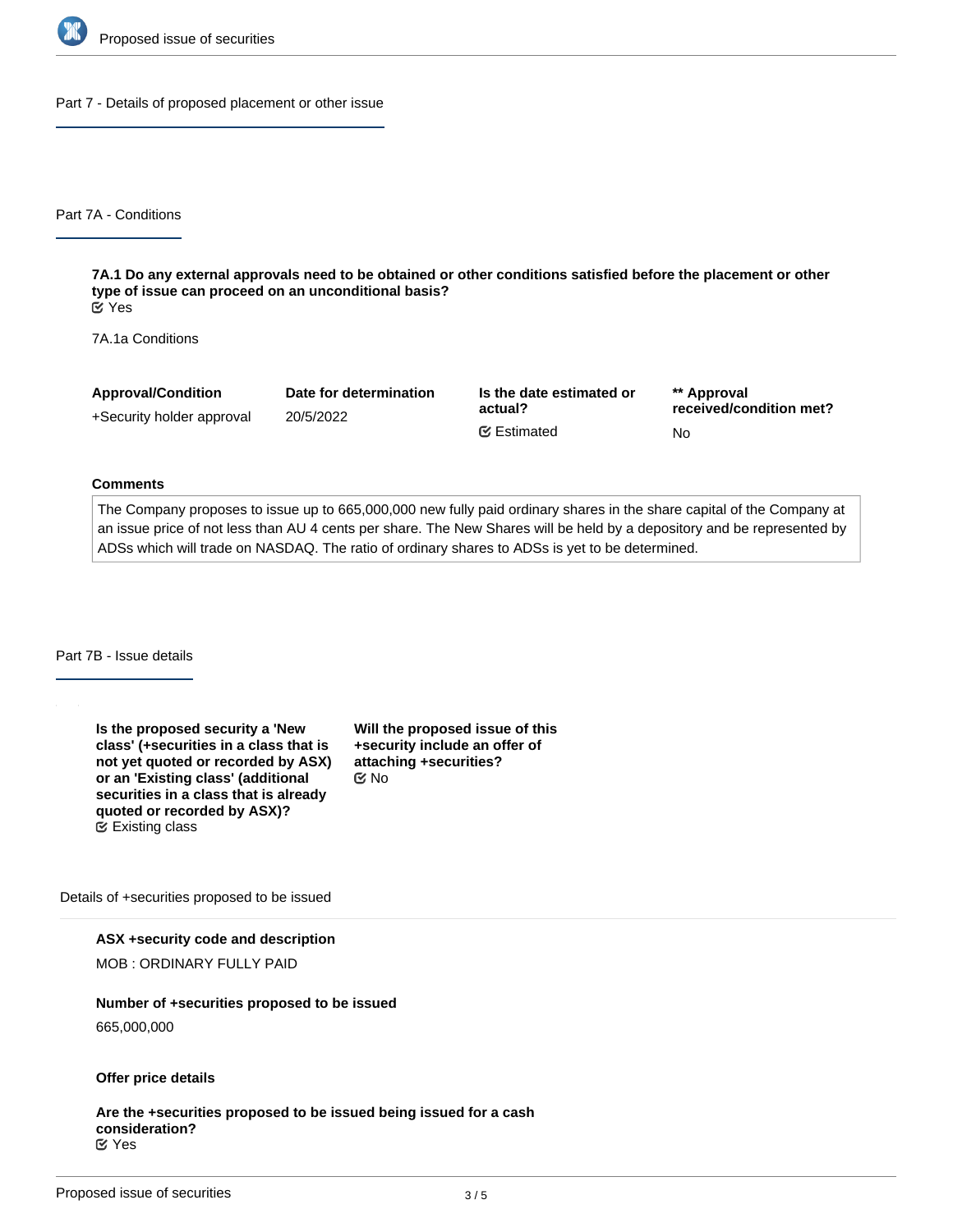

Part 7 - Details of proposed placement or other issue

Part 7A - Conditions

**7A.1 Do any external approvals need to be obtained or other conditions satisfied before the placement or other type of issue can proceed on an unconditional basis?** Yes

7A.1a Conditions

| <b>Approval/Condition</b> | Date for determination | Is the date estimated or<br>actual? | ** Approval<br>received/condition met? |
|---------------------------|------------------------|-------------------------------------|----------------------------------------|
| +Security holder approval | 20/5/2022              |                                     |                                        |
|                           |                        | <b></b> Estimated                   | No                                     |

#### **Comments**

The Company proposes to issue up to 665,000,000 new fully paid ordinary shares in the share capital of the Company at an issue price of not less than AU 4 cents per share. The New Shares will be held by a depository and be represented by ADSs which will trade on NASDAQ. The ratio of ordinary shares to ADSs is yet to be determined.

Part 7B - Issue details

**Is the proposed security a 'New class' (+securities in a class that is not yet quoted or recorded by ASX) or an 'Existing class' (additional securities in a class that is already quoted or recorded by ASX)?** Existing class

**Will the proposed issue of this +security include an offer of attaching +securities?** No

Details of +securities proposed to be issued

**ASX +security code and description**

MOB : ORDINARY FULLY PAID

**Number of +securities proposed to be issued**

665,000,000

**Offer price details**

**Are the +securities proposed to be issued being issued for a cash consideration?** Yes

**In what currency is the cash What is the issue price per**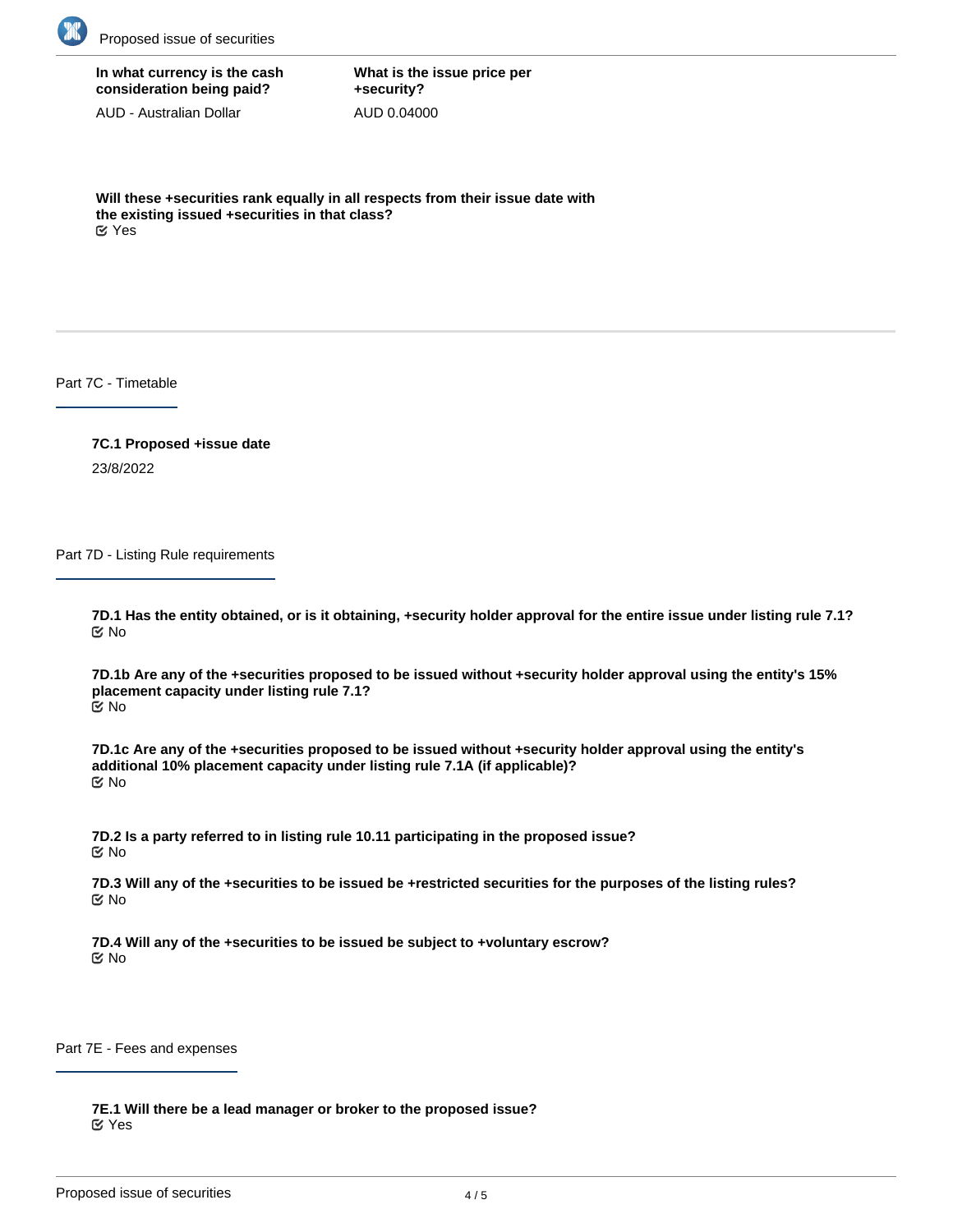

**In what currency is the cash consideration being paid?**

AUD - Australian Dollar

**What is the issue price per +security?** AUD 0.04000

**Will these +securities rank equally in all respects from their issue date with the existing issued +securities in that class?** Yes

Part 7C - Timetable

**7C.1 Proposed +issue date** 23/8/2022

Part 7D - Listing Rule requirements

**7D.1 Has the entity obtained, or is it obtaining, +security holder approval for the entire issue under listing rule 7.1?** No

**7D.1b Are any of the +securities proposed to be issued without +security holder approval using the entity's 15% placement capacity under listing rule 7.1?** No

**7D.1c Are any of the +securities proposed to be issued without +security holder approval using the entity's additional 10% placement capacity under listing rule 7.1A (if applicable)?** No

**7D.2 Is a party referred to in listing rule 10.11 participating in the proposed issue?** No

**7D.3 Will any of the +securities to be issued be +restricted securities for the purposes of the listing rules?** No

**7D.4 Will any of the +securities to be issued be subject to +voluntary escrow?** No

Part 7E - Fees and expenses

**7E.1 Will there be a lead manager or broker to the proposed issue?** Yes